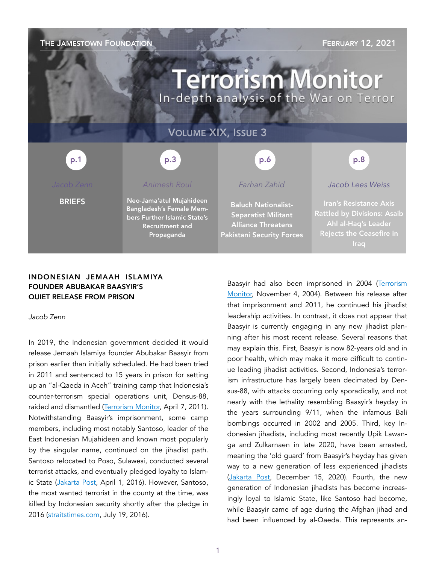### THE JAMESTOWN FOUNDATION FIND THE SERVE TO THE SERVERY 12, 2021

# **Terrorism Monitor** In-depth analysis of the War on Terror

### VOLUME XIX, ISSUE 3

p.3 p.1 p.1 p.3 p.3 p.3 p.6 p.6 p.8 p.8

**BRIEFS** 

*Animesh Roul*  Neo-Jama'atul Mujahideen Bangladesh's Female Members Further Islamic State's Recruitment and

Propaganda

### *Farhan Zahid*

Baluch Nationalist-Separatist Militant Alliance Threatens Pakistani Security Forces *Jacob Lees Weiss* 

Rattled by Divisions: Asaib Ahl al-Haq's Leader Rejects the Ceasefire in

#### INDONESIAN JEMAAH ISLAMIYA FOUNDER ABUBAKAR BAASYIR'S QUIET RELEASE FROM PRISON

*Jacob Zenn* 

In 2019, the Indonesian government decided it would release Jemaah Islamiya founder Abubakar Baasyir from prison earlier than initially scheduled. He had been tried in 2011 and sentenced to 15 years in prison for setting up an "al-Qaeda in Aceh" training camp that Indonesia's counter-terrorism special operations unit, Densus-88, raided and dismantled [\(Terrorism Monitor,](https://jamestown.org/program/trial-of-indonesias-abu-bakr-baasyir-a-test-of-indonesias-counterterrorism-resolve/) April 7, 2011). Notwithstanding Baasyir's imprisonment, some camp members, including most notably Santoso, leader of the East Indonesian Mujahideen and known most popularly by the singular name, continued on the jihadist path. Santoso relocated to Poso, Sulawesi, conducted several terrorist attacks, and eventually pledged loyalty to Islamic State [\(Jakarta Post,](https://www.thejakartapost.com/longform/2016/04/01/the-hunting-party.html) April 1, 2016). However, Santoso, the most wanted terrorist in the county at the time, was killed by Indonesian security shortly after the pledge in 2016 ([straitstimes.com,](https://www.straitstimes.com/asia/se-asia/indonesias-most-wanted-terrorist-santoso-dead-minister) July 19, 2016).

Baasyir had also been imprisoned in 2004 ([Terrorism](https://jamestown.org/program/the-trial-of-abu-bakar-baasyir-a-test-for-indonesia-2/) [Monitor,](https://jamestown.org/program/the-trial-of-abu-bakar-baasyir-a-test-for-indonesia-2/) November 4, 2004). Between his release after that imprisonment and 2011, he continued his jihadist leadership activities. In contrast, it does not appear that Baasyir is currently engaging in any new jihadist planning after his most recent release. Several reasons that may explain this. First, Baasyir is now 82-years old and in poor health, which may make it more difficult to continue leading jihadist activities. Second, Indonesia's terrorism infrastructure has largely been decimated by Densus-88, with attacks occurring only sporadically, and not nearly with the lethality resembling Baasyir's heyday in the years surrounding 9/11, when the infamous Bali bombings occurred in 2002 and 2005. Third, key Indonesian jihadists, including most recently Upik Lawanga and Zulkarnaen in late 2020, have been arrested, meaning the 'old guard' from Baasyir's heyday has given way to a new generation of less experienced jihadists ([Jakarta Post](https://www.thejakartapost.com/news/2020/12/15/densus-88-arrests-another-bali-bombing-fugitive.html), December 15, 2020). Fourth, the new generation of Indonesian jihadists has become increasingly loyal to Islamic State, like Santoso had become, while Baasyir came of age during the Afghan jihad and had been influenced by al-Qaeda. This represents an-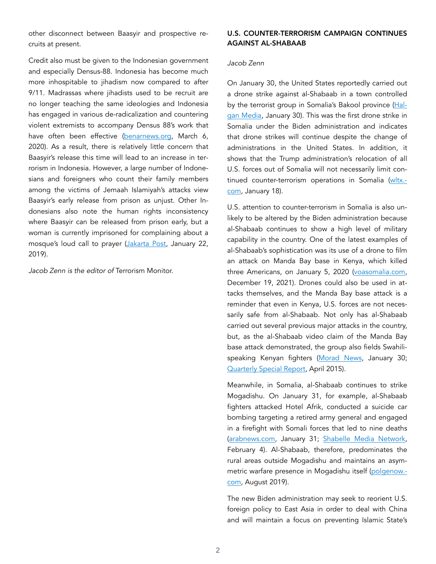other disconnect between Baasyir and prospective recruits at present.

Credit also must be given to the Indonesian government and especially Densus-88. Indonesia has become much more inhospitable to jihadism now compared to after 9/11. Madrassas where jihadists used to be recruit are no longer teaching the same ideologies and Indonesia has engaged in various de-radicalization and countering violent extremists to accompany Densus 88's work that have often been effective [\(benarnews.org,](https://www.benarnews.org/english/news/indonesian/deradicalization-efforts-03062020164506.html) March 6, 2020). As a result, there is relatively little concern that Baasyir's release this time will lead to an increase in terrorism in Indonesia. However, a large number of Indonesians and foreigners who count their family members among the victims of Jemaah Islamiyah's attacks view Baasyir's early release from prison as unjust. Other Indonesians also note the human rights inconsistency where Baasyir can be released from prison early, but a woman is currently imprisoned for complaining about a mosque's loud call to prayer ([Jakarta Post](https://www.thejakartapost.com/academia/2019/01/22/questioning-early-release-of-baasyir.html), January 22, 2019).

*Jacob Zenn is the editor of* Terrorism Monitor.

#### U.S. COUNTER-TERRORISM CAMPAIGN CONTINUES AGAINST AL-SHABAAB

#### *Jacob Zenn*

On January 30, the United States reportedly carried out a drone strike against al-Shabaab in a town controlled by the terrorist group in Somalia's Bakool province ([Hal](https://twitter.com/Free_Somaliweyn/status/1355308340394356738)[gan Media](https://twitter.com/Free_Somaliweyn/status/1355308340394356738), January 30). This was the first drone strike in Somalia under the Biden administration and indicates that drone strikes will continue despite the change of administrations in the United States. In addition, it shows that the Trump administration's relocation of all U.S. forces out of Somalia will not necessarily limit con-tinued counter-terrorism operations in Somalia [\(wltx.](https://www.wltx.com/article/news/nation-world/us-military-says-its-troop-removal-from-somalia-is-complete/507-00217937-45d1-4070-9bc0-4bab259c0ba8) [com,](https://www.wltx.com/article/news/nation-world/us-military-says-its-troop-removal-from-somalia-is-complete/507-00217937-45d1-4070-9bc0-4bab259c0ba8) January 18).

U.S. attention to counter-terrorism in Somalia is also unlikely to be altered by the Biden administration because al-Shabaab continues to show a high level of military capability in the country. One of the latest examples of al-Shabaab's sophistication was its use of a drone to film an attack on Manda Bay base in Kenya, which killed three Americans, on January 5, 2020 [\(voasomalia.com](https://www.voasomali.com/a/5209198.html), December 19, 2021). Drones could also be used in attacks themselves, and the Manda Bay base attack is a reminder that even in Kenya, U.S. forces are not necessarily safe from al-Shabaab. Not only has al-Shabaab carried out several previous major attacks in the country, but, as the al-Shabaab video claim of the Manda Bay base attack demonstrated, the group also fields Swahilispeaking Kenyan fighters ([Morad News](https://twitter.com/MoradNews/status/1355550504252792836), January 30; [Quarterly Special Report,](https://jamestown.org/product/the-kenyan-face-of-al-shabaab/) April 2015).

Meanwhile, in Somalia, al-Shabaab continues to strike Mogadishu. On January 31, for example, al-Shabaab fighters attacked Hotel Afrik, conducted a suicide car bombing targeting a retired army general and engaged in a firefight with Somali forces that led to nine deaths ([arabnews.com](https://www.arabnews.com/node/1801406/world), January 31; [Shabelle Media Network](https://www.radioshabelle.com/target-in-mogadishu-attack-was-retired-army-general-says-al-shabaab/), February 4). Al-Shabaab, therefore, predominates the rural areas outside Mogadishu and maintains an asymmetric warfare presence in Mogadishu itself ([polgenow.](https://www.polgeonow.com/2019/08/somalia-control-map-timeline-august-2019.html) [com,](https://www.polgeonow.com/2019/08/somalia-control-map-timeline-august-2019.html) August 2019).

The new Biden administration may seek to reorient U.S. foreign policy to East Asia in order to deal with China and will maintain a focus on preventing Islamic State's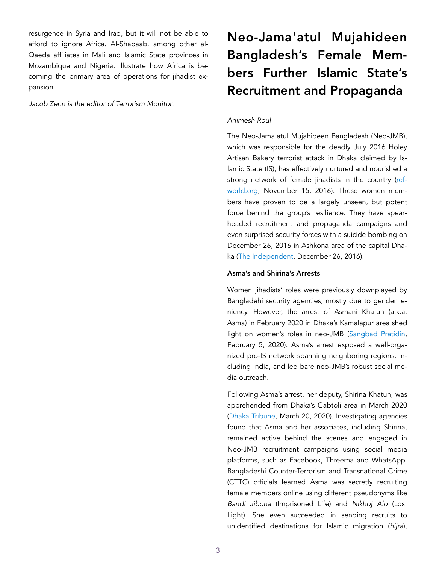resurgence in Syria and Iraq, but it will not be able to afford to ignore Africa. Al-Shabaab, among other al-Qaeda affiliates in Mali and Islamic State provinces in Mozambique and Nigeria, illustrate how Africa is becoming the primary area of operations for jihadist expansion.

*Jacob Zenn is the editor of Terrorism Monitor*.

## Neo-Jama'atul Mujahideen Bangladesh's Female Members Further Islamic State's Recruitment and Propaganda

#### *Animesh Roul*

The Neo-Jama'atul Mujahideen Bangladesh (Neo-JMB), which was responsible for the deadly July 2016 Holey Artisan Bakery terrorist attack in Dhaka claimed by Islamic State (IS), has effectively nurtured and nourished a strong network of female jihadists in the country [\(ref](https://www.refworld.org/docid/59db388c4.html)[world.org](https://www.refworld.org/docid/59db388c4.html), November 15, 2016). These women members have proven to be a largely unseen, but potent force behind the group's resilience. They have spearheaded recruitment and propaganda campaigns and even surprised security forces with a suicide bombing on December 26, 2016 in Ashkona area of the capital Dhaka ([The Independent,](https://www.theindependentbd.com/home/printnews/73964) December 26, 2016).

#### Asma's and Shirina's Arrests

Women jihadists' roles were previously downplayed by Bangladehi security agencies, mostly due to gender leniency. However, the arrest of Asmani Khatun (a.k.a. Asma) in February 2020 in Dhaka's Kamalapur area shed light on women's roles in neo-JMB [\(Sangbad Pratidin](https://www.sangbadpratidin.in/bangladesh/bangladesh-jmb-women-wing-leader-arrested-in-dhaka/), February 5, 2020). Asma's arrest exposed a well-organized pro-IS network spanning neighboring regions, including India, and led bare neo-JMB's robust social media outreach.

Following Asma's arrest, her deputy, Shirina Khatun, was apprehended from Dhaka's Gabtoli area in March 2020 ([Dhaka Tribune,](https://www.dhakatribune.com/bangladesh/dhaka/2020/03/20/cttc-unit-arrests-new-jmb-women-s-branch-second-in-command) March 20, 2020). Investigating agencies found that Asma and her associates, including Shirina, remained active behind the scenes and engaged in Neo-JMB recruitment campaigns using social media platforms, such as Facebook, Threema and WhatsApp. Bangladeshi Counter-Terrorism and Transnational Crime (CTTC) officials learned Asma was secretly recruiting female members online using different pseudonyms like *Bandi Jibona* (Imprisoned Life) and *Nikhoj Alo* (Lost Light). She even succeeded in sending recruits to unidentified destinations for Islamic migration (*hijra*),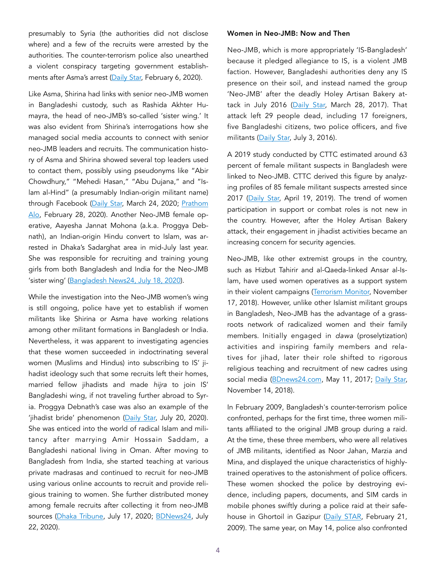presumably to Syria (the authorities did not disclose where) and a few of the recruits were arrested by the authorities. The counter-terrorism police also unearthed a violent conspiracy targeting government establish-ments after Asma's arrest ([Daily Star,](https://www.thedailystar.net/city/news/neo-jmb-leader-held-capital-1864144) February 6, 2020).

Like Asma, Shirina had links with senior neo-JMB women in Bangladeshi custody, such as Rashida Akhter Humayra, the head of neo-JMB's so-called 'sister wing.' It was also evident from Shirina's interrogations how she managed social media accounts to connect with senior neo-JMB leaders and recruits. The communication history of Asma and Shirina showed several top leaders used to contact them, possibly using pseudonyms like "Abir Chowdhury," "Mehedi Hasan," "Abu Dujana," and "Islam al-Hind" (a presumably Indian-origin militant name) through Facebook ([Daily Star,](https://www.thedailystar.net/city/news/neo-jmb-using-female-wing-recruit-online-1885072) March 24, 2020; Prathom [Alo](https://www.prothomalo.com/bangladesh/), February 28, 2020). Another Neo-JMB female operative, Aayesha Jannat Mohona (a.k.a. Proggya Debnath), an Indian-origin Hindu convert to Islam, was arrested in Dhaka's Sadarghat area in mid-July last year. She was responsible for recruiting and training young girls from both Bangladesh and India for the Neo-JMB 'sister wing' ([Bangladesh News24,](https://bdnews24.com/bangladesh/2020/07/18/bangladesh-police-arrest-indian-national-with-ties-to-terrorist-outfit) July 18, 2020).

While the investigation into the Neo-JMB women's wing is still ongoing, police have yet to establish if women militants like Shirina or Asma have working relations among other militant formations in Bangladesh or India. Nevertheless, it was apparent to investigating agencies that these women succeeded in indoctrinating several women (Muslims and Hindus) into subscribing to IS' jihadist ideology such that some recruits left their homes, married fellow jihadists and made *hijra* to join IS' Bangladeshi wing, if not traveling further abroad to Syria. Proggya Debnath's case was also an example of the 'jihadist bride' phenomenon [\(Daily Star,](https://www.thedailystar.net/city/news/she-taught-three-madrasas-1932973) July 20, 2020). She was enticed into the world of radical Islam and militancy after marrying Amir Hossain Saddam, a Bangladeshi national living in Oman. After moving to Bangladesh from India, she started teaching at various private madrasas and continued to recruit for neo-JMB using various online accounts to recruit and provide religious training to women. She further distributed money among female recruits after collecting it from neo-JMB sources ([Dhaka Tribune,](https://www.dhakatribune.com/bangladesh/dhaka/2020/07/17/neo-jmb-women-s-wing-member-arrested-in-dhaka) July 17, 2020; [BDNews24,](https://bangla.bdnews24.com/bangladesh/article1783328.bdnews) July 22, 2020).

#### Women in Neo-JMB: Now and Then

Neo-JMB, which is more appropriately 'IS-Bangladesh' because it pledged allegiance to IS, is a violent JMB faction. However, Bangladeshi authorities deny any IS presence on their soil, and instead named the group 'Neo-JMB' after the deadly Holey Artisan Bakery at-tack in July 2016 [\(Daily Star,](https://www.thedailystar.net/opinion/stranger-fiction/isis-threats-bangladesh-denials-and-delusions-1382470) March 28, 2017). That attack left 29 people dead, including 17 foreigners, five Bangladeshi citizens, two police officers, and five militants ([Daily Star,](https://www.thedailystar.net/frontpage/dhaka-attack/blood-shock-horror-1249471) July 3, 2016).

A 2019 study conducted by CTTC estimated around 63 percent of female militant suspects in Bangladesh were linked to Neo-JMB. CTTC derived this figure by analyzing profiles of 85 female militant suspects arrested since 2017 ([Daily Star,](https://www.thedailystar.net/city/news/63pc-female-terror-suspects-linked-neo-jmb-cttc-1731865) April 19, 2019). The trend of women participation in support or combat roles is not new in the country. However, after the Holey Artisan Bakery attack, their engagement in jihadist activities became an increasing concern for security agencies.

Neo-JMB, like other extremist groups in the country, such as Hizbut Tahirir and al-Qaeda-linked Ansar al-Islam, have used women operatives as a support system in their violent campaigns [\(Terrorism Monitor,](https://jamestown.org/program/the-shifting-narrative-of-womens-role-in-jamaat-ul-mujahideen-bangladeshs-islamic-jihad/) November 17, 2018). However, unlike other Islamist militant groups in Bangladesh, Neo-JMB has the advantage of a grassroots network of radicalized women and their family members. Initially engaged in *dawa* (proselytization) activities and inspiring family members and relatives for jihad, later their role shifted to rigorous religious teaching and recruitment of new cadres using social media [\(BDnews24.com,](https://bdnews24.com/bangladesh/2017/05/11/three-militants-die-in-suicide-blasts-in-rajshahi-s-godagari-area) May 11, 2017; [Daily Star,](https://www.thedailystar.net/backpage/news/neo-jmb-out-regroup-under-new-chief-1660300) November 14, 2018).

In February 2009, Bangladesh's counter-terrorism police confronted, perhaps for the first time, three women militants affiliated to the original JMB group during a raid. At the time, these three members, who were all relatives of JMB militants, identified as Noor Jahan, Marzia and Mina, and displayed the unique characteristics of highlytrained operatives to the astonishment of police officers. These women shocked the police by destroying evidence, including papers, documents, and SIM cards in mobile phones swiftly during a police raid at their safehouse in Ghortoil in Gazipur [\(Daily STAR](https://www.thedailystar.net/news-detail-76813), February 21, 2009). The same year, on May 14, police also confronted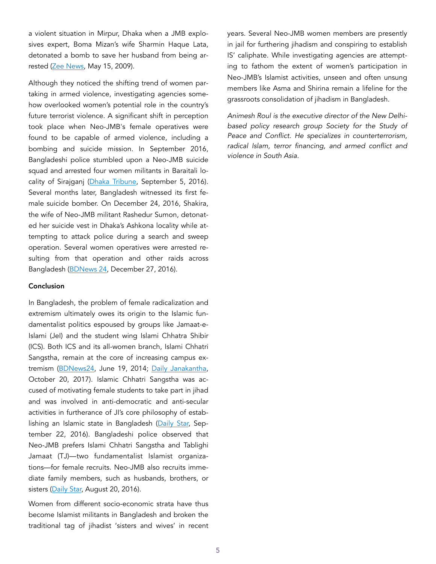a violent situation in Mirpur, Dhaka when a JMB explosives expert, Boma Mizan's wife Sharmin Haque Lata, detonated a bomb to save her husband from being ar-rested [\(Zee News,](https://zeenews.india.com/news/south-asia/top-jmb-explosive-expert-nabbed-in-bdesh_531995.html) May 15, 2009).

Although they noticed the shifting trend of women partaking in armed violence, investigating agencies somehow overlooked women's potential role in the country's future terrorist violence. A significant shift in perception took place when Neo-JMB's female operatives were found to be capable of armed violence, including a bombing and suicide mission. In September 2016, Bangladeshi police stumbled upon a Neo-JMB suicide squad and arrested four women militants in Baraitali locality of Sirajganj ([Dhaka Tribune](https://www.dhakatribune.com/bangladesh/crime/2016/09/05/4-females-jmb-suicide-squad-held-sirajganj), September 5, 2016). Several months later, Bangladesh witnessed its first female suicide bomber. On December 24, 2016, Shakira, the wife of Neo-JMB militant Rashedur Sumon, detonated her suicide vest in Dhaka's Ashkona locality while attempting to attack police during a search and sweep operation. Several women operatives were arrested resulting from that operation and other raids across Bangladesh ([BDNews 24](https://bdnews24.com/bangladesh/2016/12/27/women-choose-militancy-due-to-pressure-from-husbands-police), December 27, 2016).

#### Conclusion

In Bangladesh, the problem of female radicalization and extremism ultimately owes its origin to the Islamic fundamentalist politics espoused by groups like Jamaat-e-Islami (JeI) and the student wing Islami Chhatra Shibir (ICS). Both ICS and its all-women branch, Islami Chhatri Sangstha, remain at the core of increasing campus extremism ([BDNews24](https://bdnews24.com/bangladesh/2014/06/19/chhatri-sangstha-members-in-jail), June 19, 2014; [Daily Janakantha,](https://www.dailyjanakantha.com/details/article/379154/) October 20, 2017). Islamic Chhatri Sangstha was accused of motivating female students to take part in jihad and was involved in anti-democratic and anti-secular activities in furtherance of JI's core philosophy of estab-lishing an Islamic state in Bangladesh ([Daily Star,](https://www.thedailystar.net/country/ugc-asked-stop-islami-chhatri-sangsthas-campus-activities-1287961) September 22, 2016). Bangladeshi police observed that Neo-JMB prefers Islami Chhatri Sangstha and Tablighi Jamaat (TJ)—two fundamentalist Islamist organizations—for female recruits. Neo-JMB also recruits immediate family members, such as husbands, brothers, or sisters ([Daily Star,](https://www.thedailystar.net/frontpage/tricking-women-militancy-1272679) August 20, 2016).

Women from different socio-economic strata have thus become Islamist militants in Bangladesh and broken the traditional tag of jihadist 'sisters and wives' in recent years. Several Neo-JMB women members are presently in jail for furthering jihadism and conspiring to establish IS' caliphate. While investigating agencies are attempting to fathom the extent of women's participation in Neo-JMB's Islamist activities, unseen and often unsung members like Asma and Shirina remain a lifeline for the grassroots consolidation of jihadism in Bangladesh.

*Animesh Roul is the executive director of the New Delhibased policy research group [Society for the Study of](http://www.sspconline.org/) [Peace and Conflict.](http://www.sspconline.org/) He specializes in counterterrorism, radical Islam, terror financing, and armed conflict and violence in South Asia.*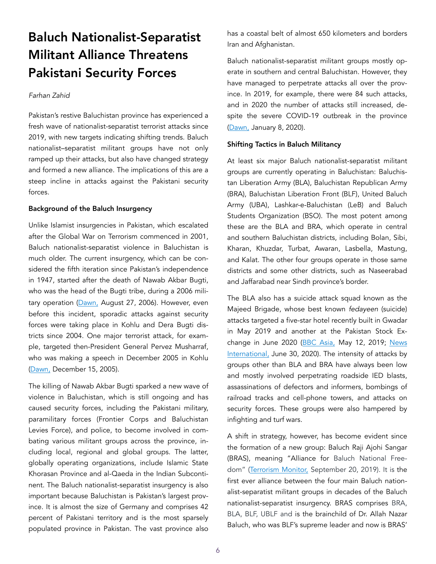## Baluch Nationalist-Separatist Militant Alliance Threatens Pakistani Security Forces

#### *Farhan Zahid*

Pakistan's restive Baluchistan province has experienced a fresh wave of nationalist-separatist terrorist attacks since 2019, with new targets indicating shifting trends. Baluch nationalist–separatist militant groups have not only ramped up their attacks, but also have changed strategy and formed a new alliance. The implications of this are a steep incline in attacks against the Pakistani security forces.

#### Background of the Baluch Insurgency

Unlike Islamist insurgencies in Pakistan, which escalated after the Global War on Terrorism commenced in 2001, Baluch nationalist-separatist violence in Baluchistan is much older. The current insurgency, which can be considered the fifth iteration since Pakistan's independence in 1947, started after the death of Nawab Akbar Bugti, who was the head of the Bugti tribe, during a 2006 mili-tary operation ([Dawn,](https://www.dawn.com/news/207726/bugti-killed-in-operation-six-officers-among-21-security-personnel-dead) August 27, 2006). However, even before this incident, sporadic attacks against security forces were taking place in Kohlu and Dera Bugti districts since 2004. One major terrorist attack, for example, targeted then-President General Pervez Musharraf, who was making a speech in December 2005 in Kohlu ([Dawn,](https://www.dawn.com/news/170026/saboteurs-will-fail-says-musharraf-rockets-fired-during-president-s-kohlu-visit) December 15, 2005).

The killing of Nawab Akbar Bugti sparked a new wave of violence in Baluchistan, which is still ongoing and has caused security forces, including the Pakistani military, paramilitary forces (Frontier Corps and Baluchistan Levies Force), and police, to become involved in combating various militant groups across the province, including local, regional and global groups. The latter, globally operating organizations, include Islamic State Khorasan Province and al-Qaeda in the Indian Subcontinent. The Baluch nationalist-separatist insurgency is also important because Baluchistan is Pakistan's largest province. It is almost the size of Germany and comprises 42 percent of Pakistani territory and is the most sparsely populated province in Pakistan. The vast province also

has a coastal belt of almost 650 kilometers and borders Iran and Afghanistan.

Baluch nationalist-separatist militant groups mostly operate in southern and central Baluchistan. However, they have managed to perpetrate attacks all over the province. In 2019, for example, there were 84 such attacks, and in 2020 the number of attacks still increased, despite the severe COVID-19 outbreak in the province ([Dawn,](https://www.dawn.com/news/1526906) January 8, 2020).

#### Shifting Tactics in Baluch Militancy

At least six major Baluch nationalist-separatist militant groups are currently operating in Baluchistan: Baluchistan Liberation Army (BLA), Baluchistan Republican Army (BRA), Baluchistan Liberation Front (BLF), United Baluch Army (UBA), Lashkar-e-Baluchistan (LeB) and Baluch Students Organization (BSO). The most potent among these are the BLA and BRA, which operate in central and southern Baluchistan districts, including Bolan, Sibi, Kharan, Khuzdar, Turbat, Awaran, Lasbella, Mastung, and Kalat. The other four groups operate in those same districts and some other districts, such as Naseerabad and Jaffarabad near Sindh province's border.

The BLA also has a suicide attack squad known as the Majeed Brigade, whose best known *fedayeen* (suicide) attacks targeted a five-star hotel recently built in Gwadar in May 2019 and another at the Pakistan Stock Ex-change in June 2020 ([BBC Asia,](https://www.bbc.com/news/world-asia-48238759) May 12, 2019; [News](https://www.thenews.com.pk/print/679584-terror-attack-at-psx-foiled-in-swift-operation) [International,](https://www.thenews.com.pk/print/679584-terror-attack-at-psx-foiled-in-swift-operation) June 30, 2020). The intensity of attacks by groups other than BLA and BRA have always been low and mostly involved perpetrating roadside IED blasts, assassinations of defectors and informers, bombings of railroad tracks and cell-phone towers, and attacks on security forces. These groups were also hampered by infighting and turf wars.

A shift in strategy, however, has become evident since the formation of a new group: Baluch Raji Ajohi Sangar (BRAS), meaning "Alliance for Baluch National Freedom" [\(Terrorism Monitor,](https://jamestown.org/program/bras-emergence-of-a-new-baluch-separatist-alliance/) September 20, 2019). It is the first ever alliance between the four main Baluch nationalist-separatist militant groups in decades of the Baluch nationalist-separatist insurgency. BRAS comprises BRA, BLA, BLF, UBLF and is the brainchild of Dr. Allah Nazar Baluch, who was BLF's supreme leader and now is BRAS'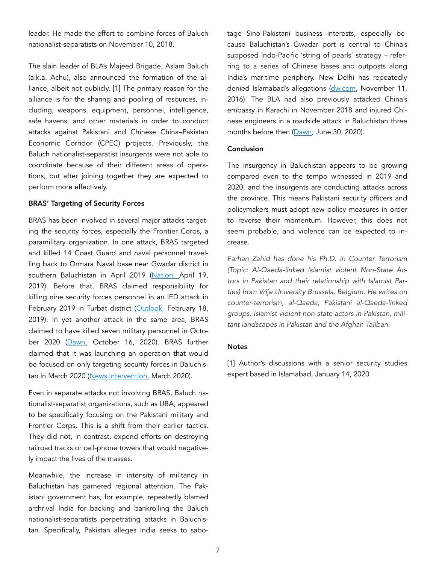leader. He made the effort to combine forces of Baluch nationalist-separatists on November 10, 2018.

The slain leader of BLA's Majeed Brigade, Aslam Baluch (a.k.a. Achu), also announced the formation of the alliance, albeit not publicly. [1] The primary reason for the alliance is for the sharing and pooling of resources, including, weapons, equipment, personnel, intelligence, safe havens, and other materials in order to conduct attacks against Pakistani and Chinese China–Pakistan Economic Corridor (CPEC) projects. Previously, the Baluch nationalist-separatist insurgents were not able to coordinate because of their different areas of operations, but after joining together they are expected to perform more effectively.

#### BRAS' Targeting of Security Forces

BRAS has been involved in several major attacks targeting the security forces, especially the Frontier Corps, a paramilitary organization. In one attack, BRAS targeted and killed 14 Coast Guard and naval personnel travelling back to Ormara Naval base near Gwadar district in southern Baluchistan in April 2019 [\(Nation,](https://nation.com.pk/19-Apr-2019/14-bus-passengers-martyred-in-ormara-terror-attack) April 19, 2019). Before that, BRAS claimed responsibility for killing nine security forces personnel in an IED attack in February 2019 in Turbat district [\(Outlook,](https://www.outlookindia.com/website/story/world-news-9-killed-11-injured-in-suicide-attack-on-pakistan-army-convoy-in-balochistan-report/325665) February 18, 2019). In yet another attack in the same area, BRAS claimed to have killed seven military personnel in October 2020 [\(Dawn,](https://www.dawn.com/news/1585319) October 16, 2020). BRAS further claimed that it was launching an operation that would be focused on only targeting security forces in Baluchis-tan in March 2020 ([News Intervention,](https://www.newsintervention.com/bras-freedom-fighters-eliminate-12-pakistan-military-personnel-at-mand-in-balochistan/) March 2020).

Even in separate attacks not involving BRAS, Baluch nationalist-separatist organizations, such as UBA, appeared to be specifically focusing on the Pakistani military and Frontier Corps. This is a shift from their earlier tactics. They did not, in contrast, expend efforts on destroying railroad tracks or cell-phone towers that would negatively impact the lives of the masses.

Meanwhile, the increase in intensity of militancy in Baluchistan has garnered regional attention. The Pakistani government has, for example, repeatedly blamed archrival India for backing and bankrolling the Baluch nationalist-separatists perpetrating attacks in Baluchistan. Specifically, Pakistan alleges India seeks to sabotage Sino-Pakistani business interests, especially because Baluchistan's Gwadar port is central to China's supposed Indo-Pacific 'string of pearls' strategy – referring to a series of Chinese bases and outposts along India's maritime periphery. New Delhi has repeatedly denied Islamabad's allegations ([dw.com,](https://www.dw.com/en/india-afghanistan-deny-pakistans-allegation-of-terrorism/a-55611636) November 11, 2016). The BLA had also previously attacked China's embassy in Karachi in November 2018 and injured Chinese engineers in a roadside attack in Baluchistan three months before then ([Dawn](https://www.dawn.com/news/1566053), June 30, 2020).

#### Conclusion

The insurgency in Baluchistan appears to be growing compared even to the tempo witnessed in 2019 and 2020, and the insurgents are conducting attacks across the province. This means Pakistani security officers and policymakers must adopt new policy measures in order to reverse their momentum. However, this does not seem probable, and violence can be expected to increase.

*Farhan Zahid has done his Ph.D. in Counter Terrorism (Topic: Al-Qaeda-linked Islamist violent Non-State Actors in Pakistan and their relationship with Islamist Parties) from Vrije University Brussels, Belgium. He writes on counter-terrorism, al-Qaeda, Pakistani al-Qaeda-linked groups, Islamist violent non-state actors in Pakistan, militant landscapes in Pakistan and the Afghan Taliban.* 

#### **Notes**

[1] Author's discussions with a senior security studies expert based in Islamabad, January 14, 2020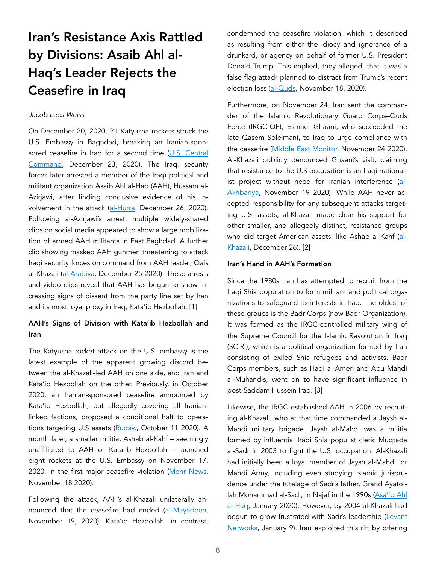## Iran's Resistance Axis Rattled by Divisions: Asaib Ahl al-Haq's Leader Rejects the Ceasefire in Iraq

#### *Jacob Lees Weiss*

On December 20, 2020, 21 Katyusha rockets struck the U.S. Embassy in Baghdad, breaking an Iranian-sponsored ceasefire in Iraq for a second time (U.S. Central [Command,](https://www.centcom.mil/MEDIA/STATEMENTS/Statements-View/Article/2456662/us-central-command-statement-on-dec-20-2020-rocket-attack/) December 23, 2020). The Iraqi security forces later arrested a member of the Iraqi political and militant organization Asaib Ahl al-Haq (AAH), Hussam al-Azirjawi, after finding conclusive evidence of his in-volvement in the attack [\(al-Hurra,](https://www.alhurra.com/iraq/2020/12/26/%D8%AF%D9%88%D8%B1-%D8%A7%D9%84%D8%A3%D8%B9%D8%B1%D8%AC%D9%8A-%D9%88%D9%85%D9%88%D9%82%D9%81-%D8%A7%D9%84%D9%83%D8%A7%D8%B8%D9%85%D9%8A-%D8%AA%D9%81%D8%A7%D8%B5%D9%8A%D9%84-%D9%84%D9%8A%D9%84%D8%A9-%D8%A5%D8%B1%D9%87%D8%A7%D8%A8-%D8%A7%D9%84%D8%B9%D8%B5%D8%A7%D8%A6%D8%A8) December 26, 2020). Following al-Azirjawi's arrest, multiple widely-shared clips on social media appeared to show a large mobilization of armed AAH militants in East Baghdad. A further clip showing masked AAH gunmen threatening to attack Iraqi security forces on command from AAH leader, Qais al-Khazali ([al-Arabiya,](https://www.alarabiya.net/arab-and-world/iraq/2020/12/25/%D9%81%D9%8A%D8%AF%D9%8A%D9%88-%D9%84%D9%85%D9%8A%D9%84%D9%8A%D8%B4%D9%8A%D8%A7-%D8%A7%D9%84%D8%B9%D8%B5%D8%A7%D8%A6%D8%A8-%D8%AA%D9%87%D8%AF%D8%AF-%D8%A7%D9%84%D9%83%D8%A7%D8%B8%D9%85%D9%8A-%D8%B1%D9%87%D9%86-%D8%A7%D8%B4%D8%A7%D8%B1%D8%A9-%D8%A7%D9%84%D8%AE%D8%B2%D8%B9%D9%84%D9%8A-) December 25 2020). These arrests and video clips reveal that AAH has begun to show increasing signs of dissent from the party line set by Iran and its most loyal proxy in Iraq, Kata'ib Hezbollah. [1]

#### AAH's Signs of Division with Kata'ib Hezbollah and Iran

The Katyusha rocket attack on the U.S. embassy is the latest example of the apparent growing discord between the al-Khazali-led AAH on one side, and Iran and Kata'ib Hezbollah on the other. Previously, in October 2020, an Iranian-sponsored ceasefire announced by Kata'ib Hezbollah, but allegedly covering all Iranianlinked factions, proposed a conditional halt to operations targeting U.S assets [\(Rudaw,](http://www.rudaw.net/arabic/middleeast/iraq/1110202010) October 11 2020). A month later, a smaller militia, Ashab al-Kahf – seemingly unaffiliated to AAH or Kata'ib Hezbollah – launched eight rockets at the U.S. Embassy on November 17, 2020, in the first major ceasefire violation ([Mehr News,](https://ar.mehrnews.com/news/1909485/%D9%81%D8%B5%D9%8A%D9%84-%D8%A3%D8%B5%D8%AD%D8%A7%D8%A8-%D8%A7%D9%84%D9%83%D9%87%D9%81-%D9%8A%D8%AF%D9%83-%D8%A7%D9%84%D8%B3%D9%81%D8%A7%D8%B1%D8%A9-%D8%A7%D9%84%D8%A7%D9%85%D8%B1%D9%8A%D9%83%D9%8A%D8%A9-%D9%81%D9%8A-%D8%A7%D9%84%D8%B9%D8%B1%D8%A7%D9%82-%D8%A8%D8%B5%D9%88%D8%A7%D8%B1%D9%8A%D8%AE-%D8%AC%D8%AF%D9%8A%D8%AF%D8%A9) November 18 2020).

Following the attack, AAH's al-Khazali unilaterally an-nounced that the ceasefire had ended [\(al-Mayadeen,](https://www.almayadeen.net/news/politics/1437797/%D8%A7%D9%84%D8%AE%D8%B2%D8%B9%D9%84%D9%8A--%D8%A7%D9%84%D9%87%D8%AF%D9%86%D8%A9-%D9%85%D8%B9-%D8%A7%D9%84%D8%A3%D9%85%D9%8A%D8%B1%D9%83%D9%8A%D9%8A%D9%86-%D8%A7%D9%86%D8%AA%D9%87%D8%AA---%D9%88%D8%A7%D9%84%D8%AA%D9%87%D8%AF%D9%8A%D8%AF-%D8%A7%D9%84%D8%AA%D8%B1%D9%83%D9%8A-%D8%B4%D9%85%D8%A7%D9%84-%D8%A7) November 19, 2020). Kata'ib Hezbollah, in contrast, condemned the ceasefire violation, which it described as resulting from either the idiocy and ignorance of a drunkard, or agency on behalf of former U.S. President Donald Trump. This implied, they alleged, that it was a false flag attack planned to distract from Trump's recent election loss ([al-Quds](https://www.alquds.co.uk/%D8%A7%D9%84%D8%B9%D8%B1%D8%A7%D9%82-%D9%83%D8%AA%D8%A7%D8%A6%D8%A8-%D8%AD%D8%B2%D8%A8-%D8%A7%D9%84%D9%84%D9%87-%D8%AA%D8%AA%D9%87%D9%85-%D8%A7%D9%84%D8%A3%D9%85%D8%B1%D9%8A%D9%83%D8%A7/), November 18, 2020).

Furthermore, on November 24, Iran sent the commander of the Islamic Revolutionary Guard Corps–Quds Force (IRGC-QF), Esmael Ghaani, who succeeded the late Qasem Soleimani, to Iraq to urge compliance with the ceasefire [\(Middle East Monitor,](https://www.middleeastmonitor.com/20201124-iran-turns-to-hezbollah-to-calm-armed-factions-in-iraq/) November 24 2020). Al-Khazali publicly denounced Ghaani's visit, claiming that resistance to the U.S occupation is an Iraqi nationalist project without need for Iranian interference [\(al-](https://www.youtube.com/watch?v=8yoAi_fvDDE)[Akhbariya,](https://www.youtube.com/watch?v=8yoAi_fvDDE) November 19 2020). While AAH never accepted responsibility for any subsequent attacks targeting U.S. assets, al-Khazali made clear his support for other smaller, and allegedly distinct, resistance groups who did target American assets, like Ashab al-Kahf [\(al-](https://twitter.com/Qais_alkhazali/status/1342780192817885184)[Khazali,](https://twitter.com/Qais_alkhazali/status/1342780192817885184) December 26). [2]

#### Iran's Hand in AAH's Formation

Since the 1980s Iran has attempted to recruit from the Iraqi Shia population to form militant and political organizations to safeguard its interests in Iraq. The oldest of these groups is the Badr Corps (now Badr Organization). It was formed as the IRGC-controlled military wing of the Supreme Council for the Islamic Revolution in Iraq (SCIRI), which is a political organization formed by Iran consisting of exiled Shia refugees and activists. Badr Corps members, such as Hadi al-Ameri and Abu Mahdi al-Muhandis, went on to have significant influence in post-Saddam Hussein Iraq. [3]

Likewise, the IRGC established AAH in 2006 by recruiting al-Khazali, who at that time commanded a Jaysh al-Mahdi military brigade. Jaysh al-Mahdi was a militia formed by influential Iraqi Shia populist cleric Muqtada al-Sadr in 2003 to fight the U.S. occupation. Al-Khazali had initially been a loyal member of Jaysh al-Mahdi, or Mahdi Army, including even studying Islamic jurisprudence under the tutelage of Sadr's father, Grand Ayatollah Mohammad al-Sadr, in Najaf in the 1990s (Asa'ib Ahl [al-Haq,](https://ahlualhaq.com/%D8%A7%D9%84%D8%B3%D9%8A%D8%B1%D8%A9-%D8%A7%D9%84%D8%B0%D8%A7%D8%AA%D9%8A%D8%A9/) January 2020). However, by 2004 al-Khazali had begun to grow frustrated with Sadr's leadership ([Levant](http://www.levantnetworks.com/2020/01/09/recruiting-a-militiaman-irgcs-wooing-of-qais-al-khazali/) [Networks,](http://www.levantnetworks.com/2020/01/09/recruiting-a-militiaman-irgcs-wooing-of-qais-al-khazali/) January 9). Iran exploited this rift by offering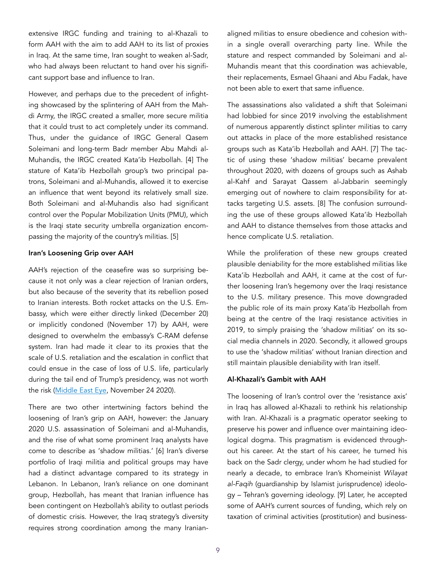extensive IRGC funding and training to al-Khazali to form AAH with the aim to add AAH to its list of proxies in Iraq. At the same time, Iran sought to weaken al-Sadr, who had always been reluctant to hand over his significant support base and influence to Iran.

However, and perhaps due to the precedent of infighting showcased by the splintering of AAH from the Mahdi Army, the IRGC created a smaller, more secure militia that it could trust to act completely under its command. Thus, under the guidance of IRGC General Qasem Soleimani and long-term Badr member Abu Mahdi al-Muhandis, the IRGC created Kata'ib Hezbollah. [4] The stature of Kata'ib Hezbollah group's two principal patrons, Soleimani and al-Muhandis, allowed it to exercise an influence that went beyond its relatively small size. Both Soleimani and al-Muhandis also had significant control over the Popular Mobilization Units (PMU), which is the Iraqi state security umbrella organization encompassing the majority of the country's militias. [5]

#### Iran's Loosening Grip over AAH

AAH's rejection of the ceasefire was so surprising because it not only was a clear rejection of Iranian orders, but also because of the severity that its rebellion posed to Iranian interests. Both rocket attacks on the U.S. Embassy, which were either directly linked (December 20) or implicitly condoned (November 17) by AAH, were designed to overwhelm the embassy's C-RAM defense system. Iran had made it clear to its proxies that the scale of U.S. retaliation and the escalation in conflict that could ensue in the case of loss of U.S. life, particularly during the tail end of Trump's presidency, was not worth the risk [\(Middle East Eye](https://www.middleeasteye.net/news/iran-iraq-us-factions-no-attacks-trump-gone), November 24 2020).

There are two other intertwining factors behind the loosening of Iran's grip on AAH, however: the January 2020 U.S. assassination of Soleimani and al-Muhandis, and the rise of what some prominent Iraq analysts have come to describe as 'shadow militias.' [6] Iran's diverse portfolio of Iraqi militia and political groups may have had a distinct advantage compared to its strategy in Lebanon. In Lebanon, Iran's reliance on one dominant group, Hezbollah, has meant that Iranian influence has been contingent on Hezbollah's ability to outlast periods of domestic crisis. However, the Iraq strategy's diversity requires strong coordination among the many Iranianaligned militias to ensure obedience and cohesion within a single overall overarching party line. While the stature and respect commanded by Soleimani and al-Muhandis meant that this coordination was achievable, their replacements, Esmael Ghaani and Abu Fadak, have not been able to exert that same influence.

The assassinations also validated a shift that Soleimani had lobbied for since 2019 involving the establishment of numerous apparently distinct splinter militias to carry out attacks in place of the more established resistance groups such as Kata'ib Hezbollah and AAH. [7] The tactic of using these 'shadow militias' became prevalent throughout 2020, with dozens of groups such as Ashab al-Kahf and Sarayat Qassem al-Jabbarin seemingly emerging out of nowhere to claim responsibility for attacks targeting U.S. assets. [8] The confusion surrounding the use of these groups allowed Kata'ib Hezbollah and AAH to distance themselves from those attacks and hence complicate U.S. retaliation.

While the proliferation of these new groups created plausible deniability for the more established militias like Kata'ib Hezbollah and AAH, it came at the cost of further loosening Iran's hegemony over the Iraqi resistance to the U.S. military presence. This move downgraded the public role of its main proxy Kata'ib Hezbollah from being at the centre of the Iraqi resistance activities in 2019, to simply praising the 'shadow militias' on its social media channels in 2020. Secondly, it allowed groups to use the 'shadow militias' without Iranian direction and still maintain plausible deniability with Iran itself.

#### Al-Khazali's Gambit with AAH

The loosening of Iran's control over the 'resistance axis' in Iraq has allowed al-Khazali to rethink his relationship with Iran. Al-Khazali is a pragmatic operator seeking to preserve his power and influence over maintaining ideological dogma. This pragmatism is evidenced throughout his career. At the start of his career, he turned his back on the Sadr clergy, under whom he had studied for nearly a decade, to embrace Iran's Khomeinist *Wilayat al-Faqih* (guardianship by Islamist jurisprudence) ideology – Tehran's governing ideology. [9] Later, he accepted some of AAH's current sources of funding, which rely on taxation of criminal activities (prostitution) and business-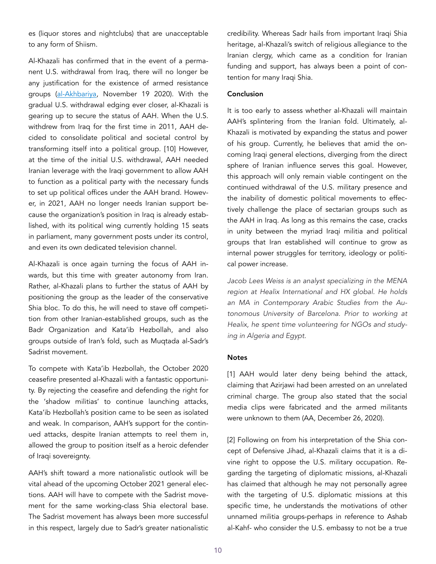es (liquor stores and nightclubs) that are unacceptable to any form of Shiism.

Al-Khazali has confirmed that in the event of a permanent U.S. withdrawal from Iraq, there will no longer be any justification for the existence of armed resistance groups [\(al-Akhbariya](https://www.youtube.com/watch?v=8yoAi_fvDDE), November 19 2020). With the gradual U.S. withdrawal edging ever closer, al-Khazali is gearing up to secure the status of AAH. When the U.S. withdrew from Iraq for the first time in 2011, AAH decided to consolidate political and societal control by transforming itself into a political group. [10] However, at the time of the initial U.S. withdrawal, AAH needed Iranian leverage with the Iraqi government to allow AAH to function as a political party with the necessary funds to set up political offices under the AAH brand. However, in 2021, AAH no longer needs Iranian support because the organization's position in Iraq is already established, with its political wing currently holding 15 seats in parliament, many government posts under its control, and even its own dedicated television channel.

Al-Khazali is once again turning the focus of AAH inwards, but this time with greater autonomy from Iran. Rather, al-Khazali plans to further the status of AAH by positioning the group as the leader of the conservative Shia bloc. To do this, he will need to stave off competition from other Iranian-established groups, such as the Badr Organization and Kata'ib Hezbollah, and also groups outside of Iran's fold, such as Muqtada al-Sadr's Sadrist movement.

To compete with Kata'ib Hezbollah, the October 2020 ceasefire presented al-Khazali with a fantastic opportunity. By rejecting the ceasefire and defending the right for the 'shadow militias' to continue launching attacks, Kata'ib Hezbollah's position came to be seen as isolated and weak. In comparison, AAH's support for the continued attacks, despite Iranian attempts to reel them in, allowed the group to position itself as a heroic defender of Iraqi sovereignty.

AAH's shift toward a more nationalistic outlook will be vital ahead of the upcoming October 2021 general elections. AAH will have to compete with the Sadrist movement for the same working-class Shia electoral base. The Sadrist movement has always been more successful in this respect, largely due to Sadr's greater nationalistic credibility. Whereas Sadr hails from important Iraqi Shia heritage, al-Khazali's switch of religious allegiance to the Iranian clergy, which came as a condition for Iranian funding and support, has always been a point of contention for many Iraqi Shia.

#### Conclusion

It is too early to assess whether al-Khazali will maintain AAH's splintering from the Iranian fold. Ultimately, al-Khazali is motivated by expanding the status and power of his group. Currently, he believes that amid the oncoming Iraqi general elections, diverging from the direct sphere of Iranian influence serves this goal. However, this approach will only remain viable contingent on the continued withdrawal of the U.S. military presence and the inability of domestic political movements to effectively challenge the place of sectarian groups such as the AAH in Iraq. As long as this remains the case, cracks in unity between the myriad Iraqi militia and political groups that Iran established will continue to grow as internal power struggles for territory, ideology or political power increase.

*Jacob Lees Weiss is an analyst specializing in the MENA region at Healix International and HX global. He holds an MA in Contemporary Arabic Studies from the Autonomous University of Barcelona. Prior to working at Healix, he spent time volunteering for NGOs and studying in Algeria and Egypt.* 

#### **Notes**

[1] AAH would later deny being behind the attack, claiming that Azirjawi had been arrested on an unrelated criminal charge. The group also stated that the social media clips were fabricated and the armed militants were unknown to them (AA, December 26, 2020).

[2] Following on from his interpretation of the Shia concept of Defensive Jihad, al-Khazali claims that it is a divine right to oppose the U.S. military occupation. Regarding the targeting of diplomatic missions, al-Khazali has claimed that although he may not personally agree with the targeting of U.S. diplomatic missions at this specific time, he understands the motivations of other unnamed militia groups-perhaps in reference to Ashab al-Kahf- who consider the U.S. embassy to not be a true